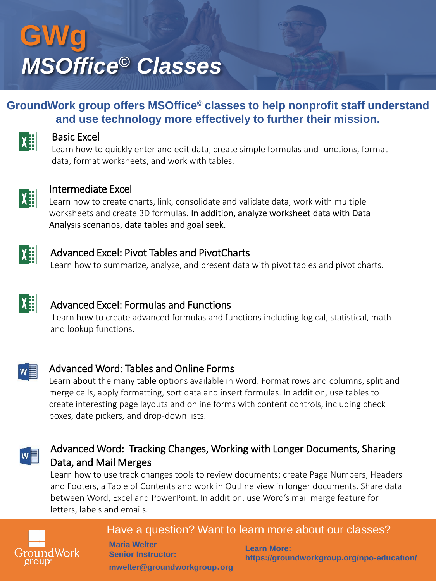# **GWg** *MSOffice© Classes*

#### **GroundWork group offers MSOffice© classes to help nonprofit staff understand and use technology more effectively to further their mission.**



#### Basic Excel

Learn how to quickly enter and edit data, create simple formulas and functions, format data, format worksheets, and work with tables.



#### Intermediate Excel

Learn how to create charts, link, consolidate and validate data, work with multiple worksheets and create 3D formulas. In addition, analyze worksheet data with Data Analysis scenarios, data tables and goal seek.



#### Advanced Excel: Pivot Tables and PivotCharts

Learn how to summarize, analyze, and present data with pivot tables and pivot charts.



#### Advanced Excel: Formulas and Functions

Learn how to create advanced formulas and functions including logical, statistical, math and lookup functions.



#### Advanced Word: Tables and Online Forms

Learn about the many table options available in Word. Format rows and columns, split and merge cells, apply formatting, sort data and insert formulas. In addition, use tables to create interesting page layouts and online forms with content controls, including check boxes, date pickers, and drop-down lists.



#### Advanced Word: Tracking Changes, Working with Longer Documents, Sharing Data, and Mail Merges

Learn how to use track changes tools to review documents; create Page Numbers, Headers and Footers, a Table of Contents and work in Outline view in longer documents. Share data between Word, Excel and PowerPoint. In addition, use Word's mail merge feature for letters, labels and emails.



#### Have a question? Want to learn more about our classes?

**Maria Welter Senior Instructor: mwelter@groundworkgroup.org**

**Learn More: https://groundworkgroup.org/npo-education/**